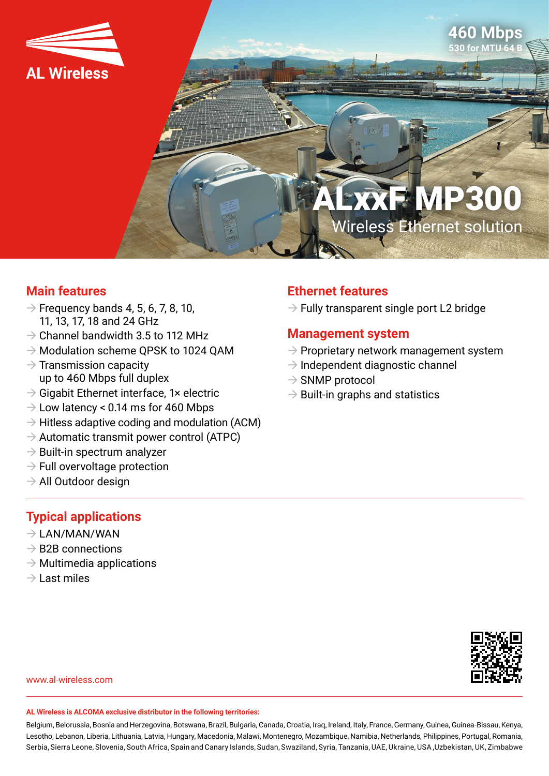



# **XF MP300** Wireless Ethernet solution

#### **Main features**

- $\rightarrow$  Frequency bands 4, 5, 6, 7, 8, 10, 11, 13, 17, 18 and 24 GHz
- $\rightarrow$  Channel bandwidth 3.5 to 112 MHz
- $\rightarrow$  Modulation scheme QPSK to 1024 QAM
- $\rightarrow$  Transmission capacity up to 460 Mbps full duplex
- $\rightarrow$  Gigabit Ethernet interface, 1× electric
- $\rightarrow$  Low latency < 0.14 ms for 460 Mbps
- $\rightarrow$  Hitless adaptive coding and modulation (ACM)
- $\rightarrow$  Automatic transmit power control (ATPC)
- $\rightarrow$  Built-in spectrum analyzer
- $\rightarrow$  Full overvoltage protection
- $\rightarrow$  All Outdoor design

#### **Typical applications**

- $\rightarrow$  LAN/MAN/WAN
- $\rightarrow$  B2B connections
- $\rightarrow$  Multimedia applications
- $\rightarrow$  Last miles

### **Ethernet features**

 $\rightarrow$  Fully transparent single port L2 bridge

#### **Management system**

- $\rightarrow$  Proprietary network management system
- $\rightarrow$  Independent diagnostic channel
- $\rightarrow$  SNMP protocol
- $\rightarrow$  Built-in graphs and statistics



www.al-wireless.com

#### **AL Wireless is ALCOMA exclusive distributor in the following territories:**

Belgium, Belorussia, Bosnia and Herzegovina, Botswana, Brazil, Bulgaria, Canada, Croatia, Iraq, Ireland, Italy, France, Germany, Guinea, Guinea-Bissau, Kenya, Lesotho, Lebanon, Liberia, Lithuania, Latvia, Hungary, Macedonia, Malawi, Montenegro, Mozambique, Namibia, Netherlands, Philippines, Portugal, Romania, Serbia, Sierra Leone, Slovenia, South Africa, Spain and Canary Islands, Sudan, Swaziland, Syria, Tanzania, UAE, Ukraine, USA ,Uzbekistan, UK, Zimbabwe